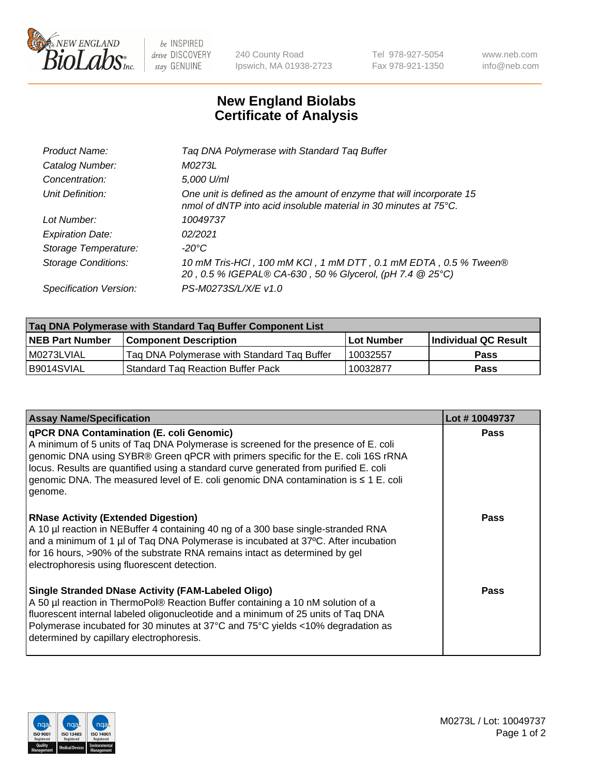

 $be$  INSPIRED drive DISCOVERY stay GENUINE

240 County Road Ipswich, MA 01938-2723 Tel 978-927-5054 Fax 978-921-1350 www.neb.com info@neb.com

## **New England Biolabs Certificate of Analysis**

| Tag DNA Polymerase with Standard Tag Buffer                                                                                              |
|------------------------------------------------------------------------------------------------------------------------------------------|
| M0273L                                                                                                                                   |
| 5,000 U/ml                                                                                                                               |
| One unit is defined as the amount of enzyme that will incorporate 15<br>nmol of dNTP into acid insoluble material in 30 minutes at 75°C. |
| 10049737                                                                                                                                 |
| 02/2021                                                                                                                                  |
| $-20^{\circ}$ C                                                                                                                          |
| 10 mM Tris-HCl, 100 mM KCl, 1 mM DTT, 0.1 mM EDTA, 0.5 % Tween®<br>20, 0.5 % IGEPAL® CA-630, 50 % Glycerol, (pH 7.4 @ 25°C)              |
| PS-M0273S/L/X/E v1.0                                                                                                                     |
|                                                                                                                                          |

| Tag DNA Polymerase with Standard Tag Buffer Component List |                                             |            |                      |  |  |
|------------------------------------------------------------|---------------------------------------------|------------|----------------------|--|--|
| <b>NEB Part Number</b>                                     | <b>Component Description</b>                | Lot Number | Individual QC Result |  |  |
| I M0273LVIAL                                               | Tag DNA Polymerase with Standard Tag Buffer | 10032557   | Pass                 |  |  |
| B9014SVIAL                                                 | 'Standard Tag Reaction Buffer Pack          | 10032877   | <b>Pass</b>          |  |  |

| <b>Assay Name/Specification</b>                                                                                                                                                                                                                                                                                                                                                                                      | Lot #10049737 |
|----------------------------------------------------------------------------------------------------------------------------------------------------------------------------------------------------------------------------------------------------------------------------------------------------------------------------------------------------------------------------------------------------------------------|---------------|
| <b>qPCR DNA Contamination (E. coli Genomic)</b><br>A minimum of 5 units of Taq DNA Polymerase is screened for the presence of E. coli<br>genomic DNA using SYBR® Green qPCR with primers specific for the E. coli 16S rRNA<br>locus. Results are quantified using a standard curve generated from purified E. coli<br>genomic DNA. The measured level of E. coli genomic DNA contamination is ≤ 1 E. coli<br>genome. | <b>Pass</b>   |
| <b>RNase Activity (Extended Digestion)</b><br>A 10 µl reaction in NEBuffer 4 containing 40 ng of a 300 base single-stranded RNA<br>and a minimum of 1 µl of Taq DNA Polymerase is incubated at 37°C. After incubation<br>for 16 hours, >90% of the substrate RNA remains intact as determined by gel<br>electrophoresis using fluorescent detection.                                                                 | <b>Pass</b>   |
| <b>Single Stranded DNase Activity (FAM-Labeled Oligo)</b><br>A 50 µl reaction in ThermoPol® Reaction Buffer containing a 10 nM solution of a<br>fluorescent internal labeled oligonucleotide and a minimum of 25 units of Taq DNA<br>Polymerase incubated for 30 minutes at 37°C and 75°C yields <10% degradation as<br>determined by capillary electrophoresis.                                                     | <b>Pass</b>   |